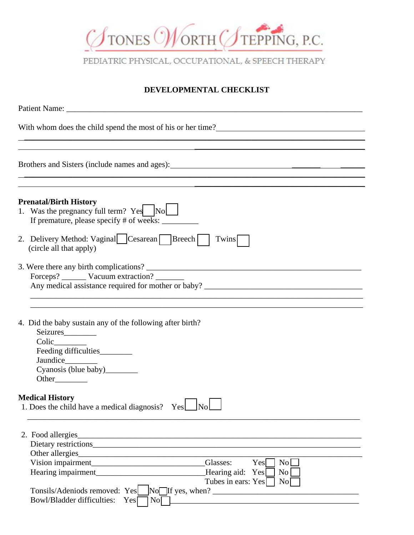

PEDIATRIC PHYSICAL, OCCUPATIONAL, & SPEECH THERAPY

## **DEVELOPMENTAL CHECKLIST**

| With whom does the child spend the most of his or her time?                                                                                                                                                                           |
|---------------------------------------------------------------------------------------------------------------------------------------------------------------------------------------------------------------------------------------|
|                                                                                                                                                                                                                                       |
| Brothers and Sisters (include names and ages): 1986. The material contract of the state of the state of the state of the state of the state of the state of the state of the state of the state of the state of the state of t        |
| <u>a sa mga barangay ng mga barangay ng mga barangay ng mga barangay ng mga barangay ng mga barangay ng mga barang</u><br><b>Prenatal/Birth History</b><br>1. Was the pregnancy full term? Yes No                                     |
| If premature, please specify # of weeks: ________                                                                                                                                                                                     |
| 2. Delivery Method: Vaginal Cesarean Breech  <br>Twins<br>(circle all that apply)                                                                                                                                                     |
| Forceps? _________ Vacuum extraction? _________                                                                                                                                                                                       |
| 4. Did the baby sustain any of the following after birth?<br>Seizures<br>Colic_______<br>Feeding difficulties<br>Jaundice_________<br>Cyanosis (blue baby)_________                                                                   |
| <b>Medical History</b><br>1. Does the child have a medical diagnosis? Yes No                                                                                                                                                          |
| 2. Food allergies<br>Other allergies<br><u> 1989 - Johann John Stone, mensk politik (f. 1989)</u><br>Glasses:<br>Yes<br>No<br>Hearing impairment<br>Hearing aid:<br>$\overline{N_{0}}$<br>Yes<br>Tubes in ears: Yes<br>$\overline{N}$ |
| $\overline{\text{No}}$ If yes, when?<br>Tonsils/Adeniods removed: Yes<br>Bowl/Bladder difficulties:<br>No<br>Yes                                                                                                                      |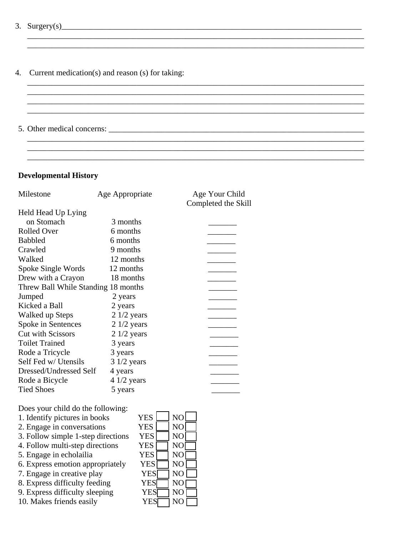- 3.  $Surgery(s)$
- 4. Current medication(s) and reason (s) for taking:

\_\_\_\_\_\_\_\_\_\_\_\_\_\_\_\_\_\_\_\_\_\_\_\_\_\_\_\_\_\_\_\_\_\_\_\_\_\_\_\_\_\_\_\_\_\_\_\_\_\_\_\_\_\_\_\_\_\_\_\_\_\_\_\_\_\_\_\_\_\_\_\_\_\_\_\_\_\_\_\_\_\_\_

\_\_\_\_\_\_\_\_\_\_\_\_\_\_\_\_\_\_\_\_\_\_\_\_\_\_\_\_\_\_\_\_\_\_\_\_\_\_\_\_\_\_\_\_\_\_\_\_\_\_\_\_\_\_\_\_\_\_\_\_\_\_\_\_\_\_\_\_\_\_\_\_\_\_\_\_\_\_\_\_\_\_\_

\_\_\_\_\_\_\_\_\_\_\_\_\_\_\_\_\_\_\_\_\_\_\_\_\_\_\_\_\_\_\_\_\_\_\_\_\_\_\_\_\_\_\_\_\_\_\_\_\_\_\_\_\_\_\_\_\_\_\_\_\_\_\_\_\_\_\_\_\_\_\_\_\_\_\_\_\_\_\_\_\_\_\_

\_\_\_\_\_\_\_\_\_\_\_\_\_\_\_\_\_\_\_\_\_\_\_\_\_\_\_\_\_\_\_\_\_\_\_\_\_\_\_\_\_\_\_\_\_\_\_\_\_\_\_\_\_\_\_\_\_\_\_\_\_\_\_\_\_\_\_\_\_\_\_\_\_\_\_\_\_\_\_\_\_\_\_

 $\mathcal{L} = \{ \mathcal{L} = \{ \mathcal{L} = \{ \mathcal{L} = \{ \mathcal{L} = \{ \mathcal{L} = \{ \mathcal{L} = \{ \mathcal{L} = \{ \mathcal{L} = \{ \mathcal{L} = \{ \mathcal{L} = \{ \mathcal{L} = \{ \mathcal{L} = \{ \mathcal{L} = \{ \mathcal{L} = \{ \mathcal{L} = \{ \mathcal{L} = \{ \mathcal{L} = \{ \mathcal{L} = \{ \mathcal{L} = \{ \mathcal{L} = \{ \mathcal{L} = \{ \mathcal{L} = \{ \mathcal{L} = \{ \mathcal{$ 

5. Other medical concerns: \_\_\_\_\_\_\_\_\_\_\_\_\_\_\_\_\_\_\_\_\_\_\_\_\_\_\_\_\_\_\_\_\_\_\_\_\_\_\_\_\_\_\_\_\_\_\_\_\_\_\_\_\_\_\_\_\_\_\_\_\_\_\_

## **Developmental History**

| Milestone                           | Age Appropriate | Age Your Child<br>Completed the Skill |  |
|-------------------------------------|-----------------|---------------------------------------|--|
| Held Head Up Lying                  |                 |                                       |  |
| on Stomach                          | 3 months        |                                       |  |
| <b>Rolled Over</b>                  | 6 months        |                                       |  |
| <b>Babbled</b>                      | 6 months        |                                       |  |
| Crawled                             | 9 months        |                                       |  |
| Walked                              | 12 months       |                                       |  |
| Spoke Single Words                  | 12 months       |                                       |  |
| Drew with a Crayon                  | 18 months       |                                       |  |
| Threw Ball While Standing 18 months |                 |                                       |  |
| Jumped                              | 2 years         |                                       |  |
| Kicked a Ball                       | 2 years         |                                       |  |
| Walked up Steps                     | $21/2$ years    |                                       |  |
| Spoke in Sentences                  | $21/2$ years    |                                       |  |
| <b>Cut with Scissors</b>            | $21/2$ years    |                                       |  |
| <b>Toilet Trained</b>               | 3 years         |                                       |  |
| Rode a Tricycle                     | 3 years         |                                       |  |
| Self Fed w/ Utensils                | $31/2$ years    |                                       |  |
| Dressed/Undressed Self              | 4 years         |                                       |  |
| Rode a Bicycle                      | $41/2$ years    |                                       |  |
| <b>Tied Shoes</b>                   | 5 years         |                                       |  |

Does your child do the following:

- 1. Identify pictures in books  $YES \square NO \square$ 2. Engage in conversations Y 3. Follow simple 1-step directions  $Y$ 4. Follow multi-step directions Y 5. Engage in echolailia  $Y$ 6. Express emotion appropriately  $\begin{array}{cc} Y \\ 7 \end{array}$   $\begin{array}{cc} \text{F}_1 \text{Page} & \text{F}_2 \text{Figure} \end{array}$ 7. Engage in creative play 8. Express difficulty feeding Y 9. Express difficulty sleeping YES NO
- 10. Makes friends easily

| ES  | N <sub>O</sub> |  |
|-----|----------------|--|
| ES  | NO             |  |
| ES  | NO             |  |
| ES  | N <sub>O</sub> |  |
| ΈS  | NO             |  |
| 7ES | NO             |  |
| 7ES | N <sub>O</sub> |  |
| YES | N <sub>O</sub> |  |
| VES |                |  |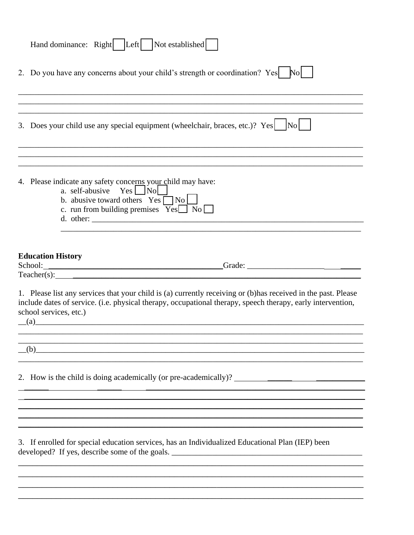|                                                                                                                                                                                                                                                                                                                                                                                                              | Hand dominance: Right   Left   Not established                                                                                                                                                                                 |
|--------------------------------------------------------------------------------------------------------------------------------------------------------------------------------------------------------------------------------------------------------------------------------------------------------------------------------------------------------------------------------------------------------------|--------------------------------------------------------------------------------------------------------------------------------------------------------------------------------------------------------------------------------|
|                                                                                                                                                                                                                                                                                                                                                                                                              | 2. Do you have any concerns about your child's strength or coordination? Yes No                                                                                                                                                |
|                                                                                                                                                                                                                                                                                                                                                                                                              |                                                                                                                                                                                                                                |
|                                                                                                                                                                                                                                                                                                                                                                                                              | 3. Does your child use any special equipment (wheelchair, braces, etc.)? Yes $ N_0 $                                                                                                                                           |
|                                                                                                                                                                                                                                                                                                                                                                                                              |                                                                                                                                                                                                                                |
| 4. Please indicate any safety concerns your child may have:<br>a. self-abusive Yes No                                                                                                                                                                                                                                                                                                                        | b. abusive toward others $Yes \Box No \Box$<br>c. run from building premises $\overline{Yes}$ No $\Box$                                                                                                                        |
|                                                                                                                                                                                                                                                                                                                                                                                                              |                                                                                                                                                                                                                                |
| <b>Education History</b>                                                                                                                                                                                                                                                                                                                                                                                     | School: Contact Contact Contact Contact Contact Contact Contact Contact Contact Contact Contact Contact Contact Contact Contact Contact Contact Contact Contact Contact Contact Contact Contact Contact Contact Contact Contac |
|                                                                                                                                                                                                                                                                                                                                                                                                              | Teacher(s): The contract of the contract of the contract of the contract of the contract of the contract of the contract of the contract of the contract of the contract of the contract of the contract of the contract of th |
|                                                                                                                                                                                                                                                                                                                                                                                                              | 1. Please list any services that your child is (a) currently receiving or (b) has received in the past. Please<br>include dates of service. (i.e. physical therapy, occupational therapy, speech therapy, early intervention,  |
| school services, etc.)<br>$\left( \text{a} \right)$ and $\left( \text{a} \right)$ and $\left( \text{a} \right)$ and $\left( \text{a} \right)$ and $\left( \text{a} \right)$ and $\left( \text{a} \right)$ and $\left( \text{a} \right)$ and $\left( \text{a} \right)$ and $\left( \text{a} \right)$ and $\left( \text{a} \right)$ and $\left( \text{a} \right)$ and $\left( \text{a} \right)$ and $\left( \$ |                                                                                                                                                                                                                                |
|                                                                                                                                                                                                                                                                                                                                                                                                              | <u> 1989 - Johann Stoff, amerikansk politiker (d. 1989)</u><br>(b)                                                                                                                                                             |
|                                                                                                                                                                                                                                                                                                                                                                                                              |                                                                                                                                                                                                                                |
|                                                                                                                                                                                                                                                                                                                                                                                                              |                                                                                                                                                                                                                                |
|                                                                                                                                                                                                                                                                                                                                                                                                              |                                                                                                                                                                                                                                |